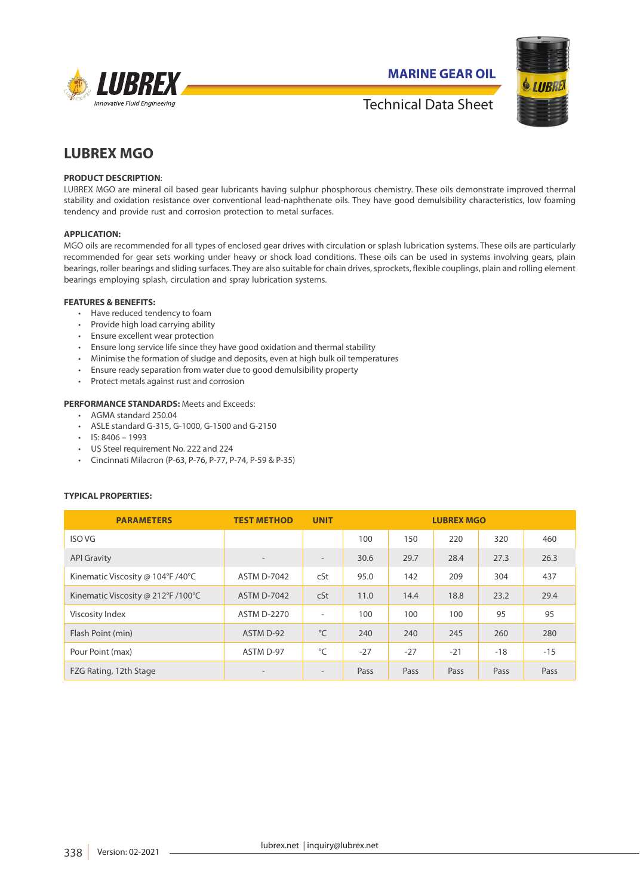

**MARINE GEAR OIL**



## Technical Data Sheet

# **LUBREX MGO**

## **PRODUCT DESCRIPTION**:

LUBREX MGO are mineral oil based gear lubricants having sulphur phosphorous chemistry. These oils demonstrate improved thermal stability and oxidation resistance over conventional lead-naphthenate oils. They have good demulsibility characteristics, low foaming tendency and provide rust and corrosion protection to metal surfaces.

#### **APPLICATION:**

MGO oils are recommended for all types of enclosed gear drives with circulation or splash lubrication systems. These oils are particularly recommended for gear sets working under heavy or shock load conditions. These oils can be used in systems involving gears, plain bearings, roller bearings and sliding surfaces. They are also suitable for chain drives, sprockets, flexible couplings, plain and rolling element bearings employing splash, circulation and spray lubrication systems.

#### **FEATURES & BENEFITS:**

- Have reduced tendency to foam
- Provide high load carrying ability
- Ensure excellent wear protection
- Ensure long service life since they have good oxidation and thermal stability
- Minimise the formation of sludge and deposits, even at high bulk oil temperatures
- Ensure ready separation from water due to good demulsibility property
- Protect metals against rust and corrosion

### **PERFORMANCE STANDARDS:** Meets and Exceeds:

- AGMA standard 250.04
- ASLE standard G-315, G-1000, G-1500 and G-2150
- $\cdot$  IS: 8406 1993
- US Steel requirement No. 222 and 224
- Cincinnati Milacron (P-63, P-76, P-77, P-74, P-59 & P-35)

## **TYPICAL PROPERTIES:**

| <b>PARAMETERS</b>                  | <b>TEST METHOD</b>       | <b>UNIT</b>              | <b>LUBREX MGO</b> |       |       |       |       |
|------------------------------------|--------------------------|--------------------------|-------------------|-------|-------|-------|-------|
| <b>ISO VG</b>                      |                          |                          | 100               | 150   | 220   | 320   | 460   |
| <b>API Gravity</b>                 | $\overline{\phantom{a}}$ | $\overline{\phantom{a}}$ | 30.6              | 29.7  | 28.4  | 27.3  | 26.3  |
| Kinematic Viscosity @ 104°F /40°C  | <b>ASTM D-7042</b>       | cSt                      | 95.0              | 142   | 209   | 304   | 437   |
| Kinematic Viscosity @ 212°F /100°C | <b>ASTM D-7042</b>       | cSt                      | 11.0              | 14.4  | 18.8  | 23.2  | 29.4  |
| Viscosity Index                    | <b>ASTM D-2270</b>       | ٠                        | 100               | 100   | 100   | 95    | 95    |
| Flash Point (min)                  | ASTM D-92                | $^{\circ}$ C             | 240               | 240   | 245   | 260   | 280   |
| Pour Point (max)                   | ASTM D-97                | °C                       | $-27$             | $-27$ | $-21$ | $-18$ | $-15$ |
| FZG Rating, 12th Stage             |                          | ۰                        | Pass              | Pass  | Pass  | Pass  | Pass  |